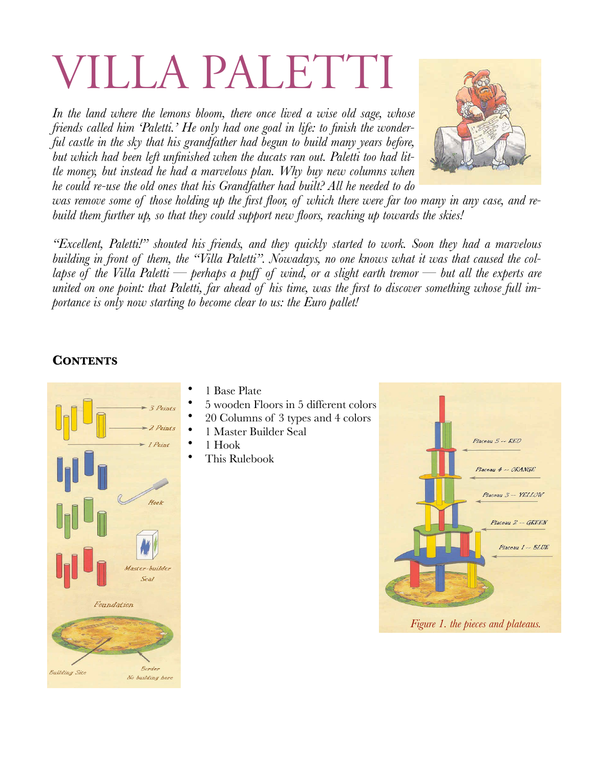# VILLA PALETTI

*In the land where the lemons bloom, there once lived a wise old sage, whose friends called him 'Paletti.' He only had one goal in life: to finish the wonderful castle in the sky that his grandfather had begun to build many years before, but which had been left unfinished when the ducats ran out. Paletti too had little money, but instead he had a marvelous plan. Why buy new columns when he could re-use the old ones that his Grandfather had built? All he needed to do* 



*was remove some of those holding up the first floor, of which there were far too many in any case, and rebuild them further up, so that they could support new floors, reaching up towards the skies!* 

*"Excellent, Paletti!" shouted his friends, and they quickly started to work. Soon they had a marvelous building in front of them, the "Villa Paletti". Nowadays, no one knows what it was that caused the collapse of the Villa Paletti — perhaps a puff of wind, or a slight earth tremor — but all the experts are united on one point: that Paletti, far ahead of his time, was the first to discover something whose full importance is only now starting to become clear to us: the Euro pallet!* 

## **CONTENTS**



- 1 Base Plate
- 5 wooden Floors in 5 different colors
- 20 Columns of 3 types and 4 colors
- 1 Master Builder Seal
- 1 Hook
- This Rulebook

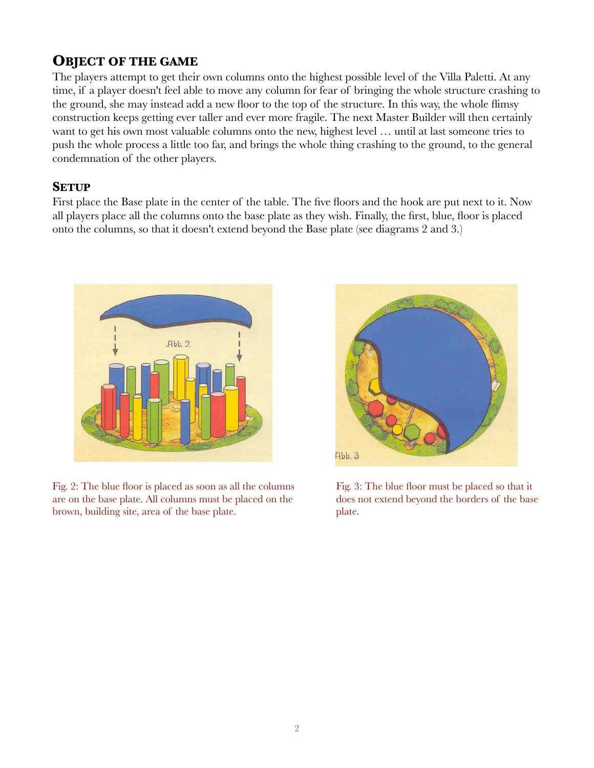# **OBJECT OF THE GAME**

The players attempt to get their own columns onto the highest possible level of the Villa Paletti. At any time, if a player doesn't feel able to move any column for fear of bringing the whole structure crashing to the ground, she may instead add a new floor to the top of the structure. In this way, the whole flimsy construction keeps getting ever taller and ever more fragile. The next Master Builder will then certainly want to get his own most valuable columns onto the new, highest level … until at last someone tries to push the whole process a little too far, and brings the whole thing crashing to the ground, to the general condemnation of the other players.

## **SETUP**

First place the Base plate in the center of the table. The five floors and the hook are put next to it. Now all players place all the columns onto the base plate as they wish. Finally, the first, blue, floor is placed onto the columns, so that it doesn't extend beyond the Base plate (see diagrams 2 and 3.)



Fig. 2: The blue floor is placed as soon as all the columns are on the base plate. All columns must be placed on the brown, building site, area of the base plate.



Fig. 3: The blue floor must be placed so that it does not extend beyond the borders of the base plate.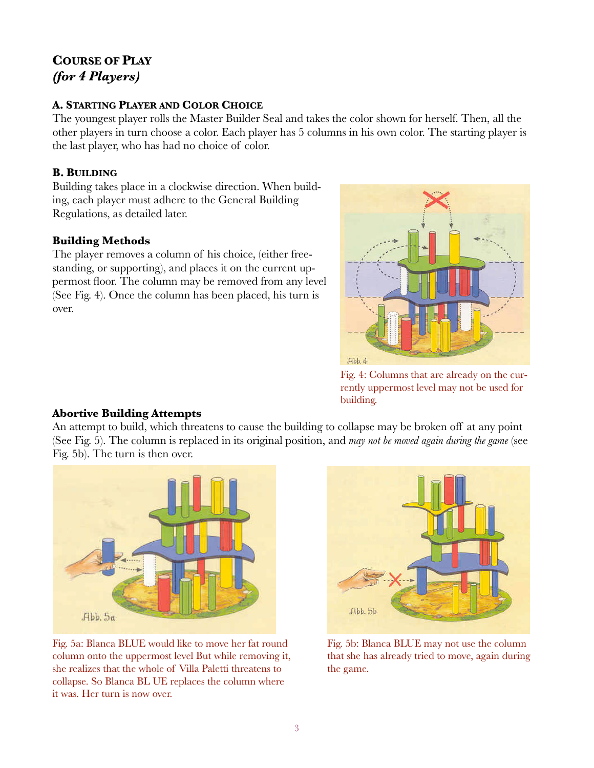# **COURSE OF PLAY**  *(for 4 Players)*

#### **A. STARTING PLAYER AND COLOR CHOICE**

The youngest player rolls the Master Builder Seal and takes the color shown for herself. Then, all the other players in turn choose a color. Each player has 5 columns in his own color. The starting player is the last player, who has had no choice of color.

#### **B. BUILDING**

Building takes place in a clockwise direction. When building, each player must adhere to the General Building Regulations, as detailed later.

#### **Building Methods**

The player removes a column of his choice, (either freestanding, or supporting), and places it on the current uppermost floor. The column may be removed from any level (See Fig. 4). Once the column has been placed, his turn is over.



Fig. 4: Columns that are already on the currently uppermost level may not be used for building.

#### **Abortive Building Attempts**

An attempt to build, which threatens to cause the building to collapse may be broken off at any point (See Fig. 5). The column is replaced in its original position, and *may not be moved again during the game* (see Fig. 5b). The turn is then over.



Fig. 5a: Blanca BLUE would like to move her fat round column onto the uppermost level But while removing it, she realizes that the whole of Villa Paletti threatens to collapse. So Blanca BL UE replaces the column where it was. Her turn is now over.



Fig. 5b: Blanca BLUE may not use the column that she has already tried to move, again during the game.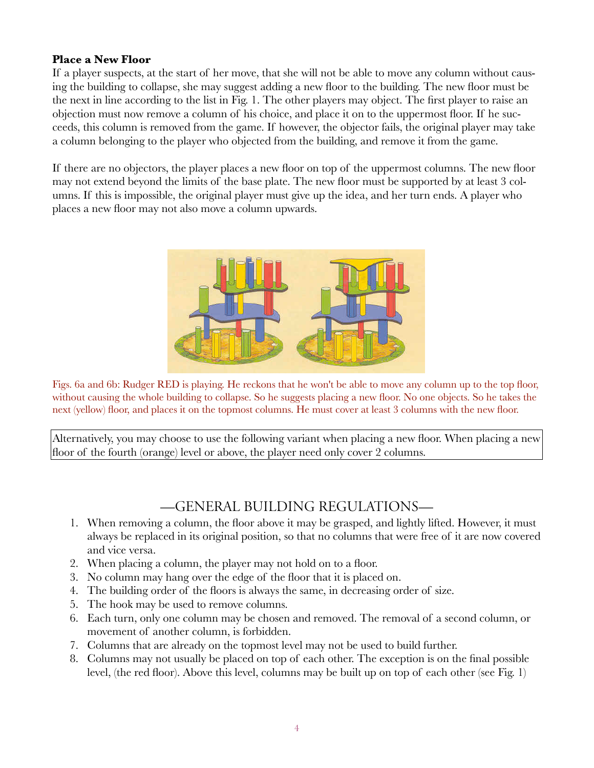#### **Place a New Floor**

If a player suspects, at the start of her move, that she will not be able to move any column without causing the building to collapse, she may suggest adding a new floor to the building. The new floor must be the next in line according to the list in Fig. 1. The other players may object. The first player to raise an objection must now remove a column of his choice, and place it on to the uppermost floor. If he succeeds, this column is removed from the game. If however, the objector fails, the original player may take a column belonging to the player who objected from the building, and remove it from the game.

If there are no objectors, the player places a new floor on top of the uppermost columns. The new floor may not extend beyond the limits of the base plate. The new floor must be supported by at least 3 columns. If this is impossible, the original player must give up the idea, and her turn ends. A player who places a new floor may not also move a column upwards.



Figs. 6a and 6b: Rudger RED is playing. He reckons that he won't be able to move any column up to the top floor, without causing the whole building to collapse. So he suggests placing a new floor. No one objects. So he takes the next (yellow) floor, and places it on the topmost columns. He must cover at least 3 columns with the new floor.

Alternatively, you may choose to use the following variant when placing a new floor. When placing a new floor of the fourth (orange) level or above, the player need only cover 2 columns.

# —GENERAL BUILDING REGULATIONS—

- 1. When removing a column, the floor above it may be grasped, and lightly lifted. However, it must always be replaced in its original position, so that no columns that were free of it are now covered and vice versa.
- 2. When placing a column, the player may not hold on to a floor.
- 3. No column may hang over the edge of the floor that it is placed on.
- 4. The building order of the floors is always the same, in decreasing order of size.
- 5. The hook may be used to remove columns.
- 6. Each turn, only one column may be chosen and removed. The removal of a second column, or movement of another column, is forbidden.
- 7. Columns that are already on the topmost level may not be used to build further.
- 8. Columns may not usually be placed on top of each other. The exception is on the final possible level, (the red floor). Above this level, columns may be built up on top of each other (see Fig. 1)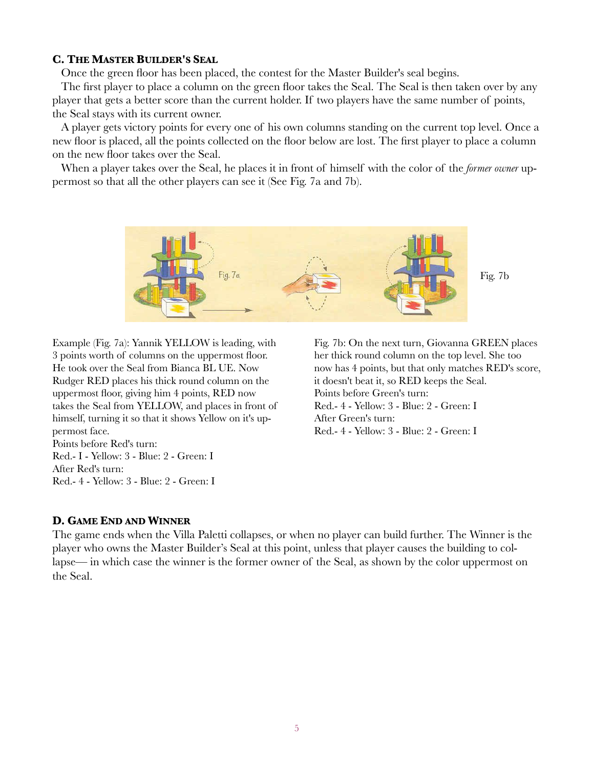#### **C. THE MASTER BUILDER'S SEAL**

Once the green floor has been placed, the contest for the Master Builder's seal begins.

The first player to place a column on the green floor takes the Seal. The Seal is then taken over by any player that gets a better score than the current holder. If two players have the same number of points, the Seal stays with its current owner.

A player gets victory points for every one of his own columns standing on the current top level. Once a new floor is placed, all the points collected on the floor below are lost. The first player to place a column on the new floor takes over the Seal.

When a player takes over the Seal, he places it in front of himself with the color of the *former owner* uppermost so that all the other players can see it (See Fig. 7a and 7b).



Example (Fig. 7a): Yannik YELLOW is leading, with 3 points worth of columns on the uppermost floor. He took over the Seal from Bianca BL UE. Now Rudger RED places his thick round column on the uppermost floor, giving him 4 points, RED now takes the Seal from YELLOW, and places in front of himself, turning it so that it shows Yellow on it's uppermost face.

Points before Red's turn: Red.- I - Yellow: 3 - Blue: 2 - Green: I After Red's turn: Red.- 4 - Yellow: 3 - Blue: 2 - Green: I Fig. 7b: On the next turn, Giovanna GREEN places her thick round column on the top level. She too now has 4 points, but that only matches RED's score, it doesn't beat it, so RED keeps the Seal. Points before Green's turn: Red.- 4 - Yellow: 3 - Blue: 2 - Green: I After Green's turn: Red.- 4 - Yellow: 3 - Blue: 2 - Green: I

#### **D. GAME END AND WINNER**

The game ends when the Villa Paletti collapses, or when no player can build further. The Winner is the player who owns the Master Builder's Seal at this point, unless that player causes the building to collapse— in which case the winner is the former owner of the Seal, as shown by the color uppermost on the Seal.